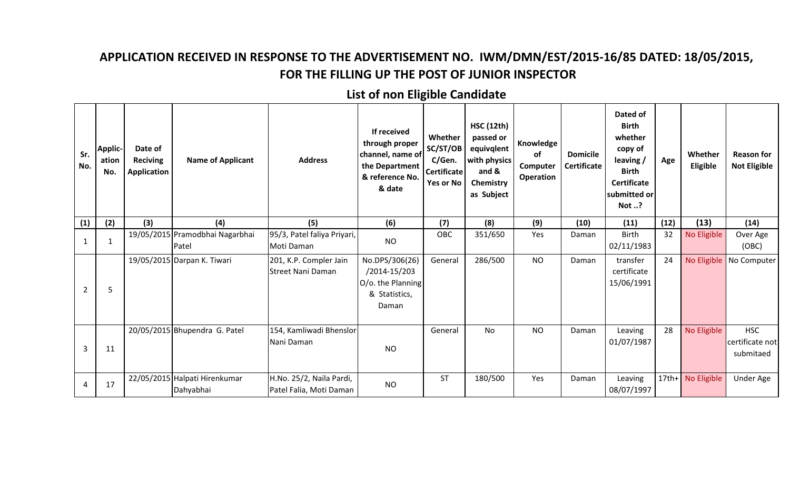## **APPLICATION RECEIVED IN RESPONSE TO THE ADVERTISEMENT NO. IWM/DMN/EST/2015-16/85 DATED: 18/05/2015, FOR THE FILLING UP THE POST OF JUNIOR INSPECTOR**

## **List of non Eligible Candidate**

| Sr.<br>No.     | <b>Applic-</b><br>ation<br>No. | Date of<br><b>Reciving</b><br>Application | <b>Name of Applicant</b>                   | <b>Address</b>                                      | If received<br>through proper<br>channel, name of<br>the Department<br>& reference No.<br>& date | Whether<br>SC/ST/OB<br>C/Gen.<br><b>Certificate</b><br>Yes or No | <b>HSC (12th)</b><br>passed or<br>equivqlent<br>with physics<br>and &<br>Chemistry<br>as Subject | Knowledge<br>of<br>Computer<br>Operation | <b>Domicile</b><br><b>Certificate</b> | Dated of<br><b>Birth</b><br>whether<br>copy of<br>leaving /<br><b>Birth</b><br><b>Certificate</b><br>submitted or<br>Not ? | Age  | Whether<br>Eligible | <b>Reason for</b><br><b>Not Eligible</b>   |
|----------------|--------------------------------|-------------------------------------------|--------------------------------------------|-----------------------------------------------------|--------------------------------------------------------------------------------------------------|------------------------------------------------------------------|--------------------------------------------------------------------------------------------------|------------------------------------------|---------------------------------------|----------------------------------------------------------------------------------------------------------------------------|------|---------------------|--------------------------------------------|
| (1)            | (2)                            | (3)                                       | (4)                                        | (5)                                                 | (6)                                                                                              | (7)                                                              | (8)                                                                                              | (9)                                      | (10)                                  | (11)                                                                                                                       | (12) | (13)                | (14)                                       |
| 1              | $\mathbf{1}$                   |                                           | 19/05/2015 Pramodbhai Nagarbhai<br>Patel   | 95/3, Patel faliya Priyari,<br>Moti Daman           | <b>NO</b>                                                                                        | OBC                                                              | 351/650                                                                                          | Yes                                      | Daman                                 | <b>Birth</b><br>02/11/1983                                                                                                 | 32   | No Eligible         | Over Age<br>(OBC)                          |
| $\overline{2}$ | 5                              |                                           | 19/05/2015 Darpan K. Tiwari                | 201, K.P. Compler Jain<br><b>Street Nani Daman</b>  | No.DPS/306(26)<br>/2014-15/203<br>O/o. the Planning<br>& Statistics,<br>Daman                    | General                                                          | 286/500                                                                                          | <b>NO</b>                                | Daman                                 | transfer<br>certificate<br>15/06/1991                                                                                      | 24   | No Eligible         | No Computer                                |
| 3              | 11                             |                                           | 20/05/2015 Bhupendra G. Patel              | 154, Kamliwadi Bhenslor<br>Nani Daman               | <b>NO</b>                                                                                        | General                                                          | <b>No</b>                                                                                        | <b>NO</b>                                | Daman                                 | Leaving<br>01/07/1987                                                                                                      | 28   | No Eligible         | <b>HSC</b><br>certificate not<br>submitaed |
| 4              | 17                             |                                           | 22/05/2015 Halpati Hirenkumar<br>Dahyabhai | H.No. 25/2, Naila Pardi,<br>Patel Falia, Moti Daman | <b>NO</b>                                                                                        | <b>ST</b>                                                        | 180/500                                                                                          | Yes                                      | Daman                                 | Leaving<br>08/07/1997                                                                                                      |      | 17th+ No Eligible   | <b>Under Age</b>                           |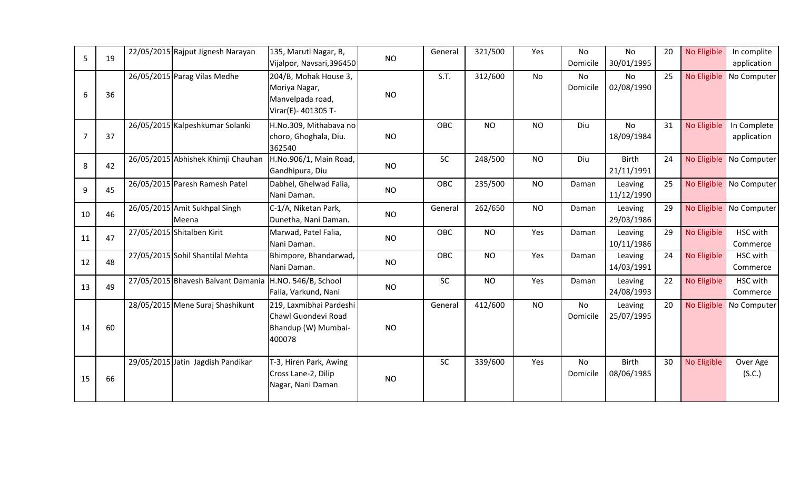| 5              | 19 | 22/05/2015 Rajput Jignesh Narayan      | 135, Maruti Nagar, B,<br>Vijalpor, Navsari, 396450                                | <b>NO</b> | General | 321/500   | Yes       | <b>No</b><br>Domicile | <b>No</b><br>30/01/1995    | 20 | No Eligible | In complite<br>application |
|----------------|----|----------------------------------------|-----------------------------------------------------------------------------------|-----------|---------|-----------|-----------|-----------------------|----------------------------|----|-------------|----------------------------|
| 6              | 36 | 26/05/2015 Parag Vilas Medhe           | 204/B, Mohak House 3,<br>Moriya Nagar,<br>Manvelpada road,<br>Virar(E)- 401305 T- | <b>NO</b> | S.T.    | 312/600   | <b>No</b> | No<br>Domicile        | No<br>02/08/1990           | 25 | No Eligible | No Computer                |
| $\overline{7}$ | 37 | 26/05/2015 Kalpeshkumar Solanki        | H.No.309, Mithabava no<br>choro, Ghoghala, Diu.<br>362540                         | <b>NO</b> | OBC     | <b>NO</b> | <b>NO</b> | Diu                   | <b>No</b><br>18/09/1984    | 31 | No Eligible | In Complete<br>application |
| 8              | 42 | 26/05/2015 Abhishek Khimji Chauhan     | H.No.906/1, Main Road,<br>Gandhipura, Diu                                         | <b>NO</b> | SC      | 248/500   | <b>NO</b> | Diu                   | <b>Birth</b><br>21/11/1991 | 24 | No Eligible | No Computer                |
| 9              | 45 | 26/05/2015 Paresh Ramesh Patel         | Dabhel, Ghelwad Falia,<br>Nani Daman.                                             | <b>NO</b> | OBC     | 235/500   | <b>NO</b> | Daman                 | Leaving<br>11/12/1990      | 25 |             | No Eligible No Computer    |
| 10             | 46 | 26/05/2015 Amit Sukhpal Singh<br>Meena | C-1/A, Niketan Park,<br>Dunetha, Nani Daman.                                      | <b>NO</b> | General | 262/650   | <b>NO</b> | Daman                 | Leaving<br>29/03/1986      | 29 |             | No Eligible No Computer    |
| 11             | 47 | 27/05/2015 Shitalben Kirit             | Marwad, Patel Falia,<br>Nani Daman.                                               | <b>NO</b> | OBC     | <b>NO</b> | Yes       | Daman                 | Leaving<br>10/11/1986      | 29 | No Eligible | HSC with<br>Commerce       |
| 12             | 48 | 27/05/2015 Sohil Shantilal Mehta       | Bhimpore, Bhandarwad,<br>Nani Daman.                                              | <b>NO</b> | OBC     | <b>NO</b> | Yes       | Daman                 | Leaving<br>14/03/1991      | 24 | No Eligible | HSC with<br>Commerce       |
| 13             | 49 | 27/05/2015 Bhavesh Balvant Damania     | H.NO. 546/B, School<br>Falia, Varkund, Nani                                       | <b>NO</b> | SC      | <b>NO</b> | Yes       | Daman                 | Leaving<br>24/08/1993      | 22 | No Eligible | HSC with<br>Commerce       |
| 14             | 60 | 28/05/2015 Mene Suraj Shashikunt       | 219, Laxmibhai Pardeshi<br>Chawl Guondevi Road<br>Bhandup (W) Mumbai-<br>400078   | <b>NO</b> | General | 412/600   | <b>NO</b> | <b>No</b><br>Domicile | Leaving<br>25/07/1995      | 20 | No Eligible | No Computer                |
| 15             | 66 | 29/05/2015 Jatin Jagdish Pandikar      | T-3, Hiren Park, Awing<br>Cross Lane-2, Dilip<br>Nagar, Nani Daman                | <b>NO</b> | SC      | 339/600   | Yes       | <b>No</b><br>Domicile | <b>Birth</b><br>08/06/1985 | 30 | No Eligible | Over Age<br>(S.C.)         |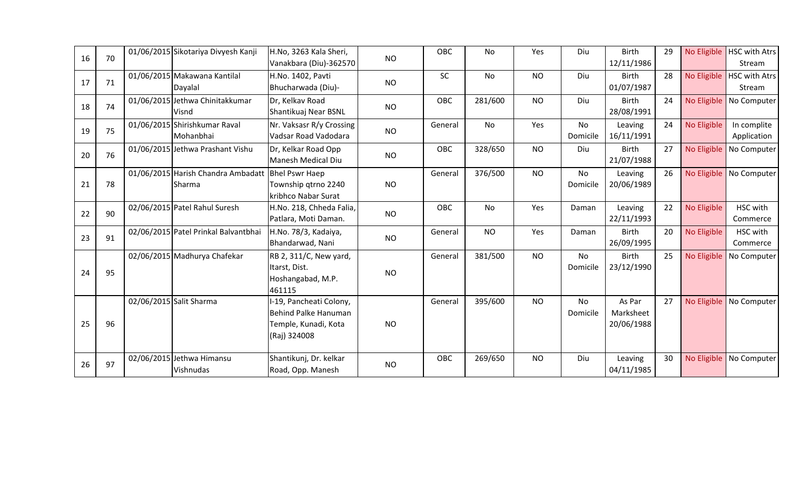| 16 | 70 | 01/06/2015 Sikotariya Divyesh Kanji          | H.No, 3263 Kala Sheri,<br>Vanakbara (Diu)-362570                                        | <b>NO</b> | OBC     | <b>No</b> | Yes       | Diu                   | <b>Birth</b><br>12/11/1986        | 29 |             | No Eligible   HSC with Atrs<br>Stream |
|----|----|----------------------------------------------|-----------------------------------------------------------------------------------------|-----------|---------|-----------|-----------|-----------------------|-----------------------------------|----|-------------|---------------------------------------|
| 17 | 71 | 01/06/2015 Makawana Kantilal<br>Dayalal      | H.No. 1402, Pavti<br>Bhucharwada (Diu)-                                                 | <b>NO</b> | SC      | No        | <b>NO</b> | Diu                   | <b>Birth</b><br>01/07/1987        | 28 |             | No Eligible   HSC with Atrs<br>Stream |
| 18 | 74 | 01/06/2015 Jethwa Chinitakkumar<br>Visnd     | Dr, Kelkav Road<br>Shantikuaj Near BSNL                                                 | <b>NO</b> | OBC     | 281/600   | <b>NO</b> | Diu                   | <b>Birth</b><br>28/08/1991        | 24 | No Eligible | No Computer                           |
| 19 | 75 | 01/06/2015 Shirishkumar Raval<br>Mohanbhai   | Nr. Vaksasr R/y Crossing<br>Vadsar Road Vadodara                                        | <b>NO</b> | General | No        | Yes       | <b>No</b><br>Domicile | Leaving<br>16/11/1991             | 24 | No Eligible | In complite<br>Application            |
| 20 | 76 | 01/06/2015 Jethwa Prashant Vishu             | Dr, Kelkar Road Opp<br><b>Manesh Medical Diu</b>                                        | <b>NO</b> | OBC     | 328/650   | <b>NO</b> | Diu                   | <b>Birth</b><br>21/07/1988        | 27 | No Eligible | No Computer                           |
| 21 | 78 | 01/06/2015 Harish Chandra Ambadatt<br>Sharma | <b>Bhel Pswr Haep</b><br>Township qtrno 2240<br>kribhco Nabar Surat                     | <b>NO</b> | General | 376/500   | <b>NO</b> | No<br>Domicile        | Leaving<br>20/06/1989             | 26 |             | No Eligible   No Computer             |
| 22 | 90 | 02/06/2015 Patel Rahul Suresh                | H.No. 218, Chheda Falia,<br>Patlara, Moti Daman.                                        | <b>NO</b> | OBC     | No        | Yes       | Daman                 | Leaving<br>22/11/1993             | 22 | No Eligible | HSC with<br>Commerce                  |
| 23 | 91 | 02/06/2015 Patel Prinkal Balvantbhai         | H.No. 78/3, Kadaiya,<br>Bhandarwad, Nani                                                | <b>NO</b> | General | <b>NO</b> | Yes       | Daman                 | <b>Birth</b><br>26/09/1995        | 20 | No Eligible | HSC with<br>Commerce                  |
| 24 | 95 | 02/06/2015 Madhurya Chafekar                 | RB 2, 311/C, New yard,<br>Itarst, Dist.<br>Hoshangabad, M.P.<br>461115                  | <b>NO</b> | General | 381/500   | <b>NO</b> | <b>No</b><br>Domicile | <b>Birth</b><br>23/12/1990        | 25 | No Eligible | No Computer                           |
| 25 | 96 | 02/06/2015 Salit Sharma                      | I-19, Pancheati Colony,<br>Behind Palke Hanuman<br>Temple, Kunadi, Kota<br>(Raj) 324008 | <b>NO</b> | General | 395/600   | <b>NO</b> | No<br>Domicile        | As Par<br>Marksheet<br>20/06/1988 | 27 | No Eligible | No Computer                           |
| 26 | 97 | 02/06/2015 Jethwa Himansu<br>Vishnudas       | Shantikunj, Dr. kelkar<br>Road, Opp. Manesh                                             | <b>NO</b> | OBC     | 269/650   | <b>NO</b> | Diu                   | Leaving<br>04/11/1985             | 30 |             | No Eligible   No Computer             |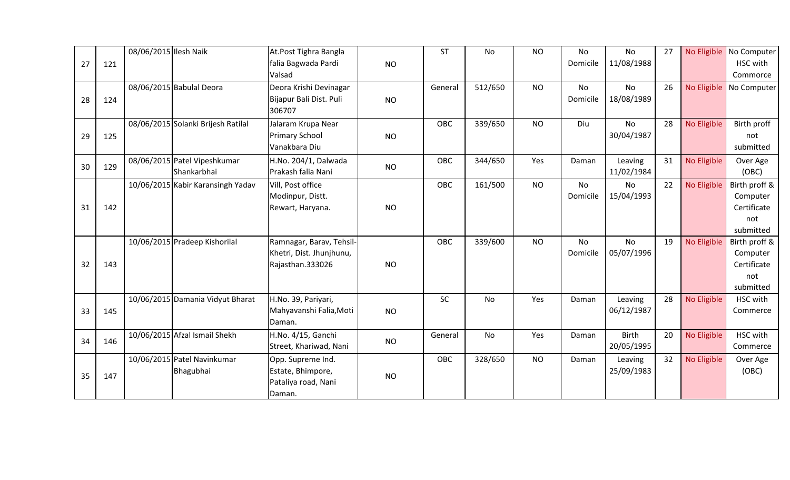| 27 | 121 | 08/06/2015 Ilesh Naik |                                             | At.Post Tighra Bangla<br>falia Bagwada Pardi<br>Valsad                   | <b>NO</b> | <b>ST</b> | No      | <b>NO</b> | No<br>Domicile        | <b>No</b><br>11/08/1988    | 27 |             | No Eligible No Computer<br>HSC with<br>Commorce              |
|----|-----|-----------------------|---------------------------------------------|--------------------------------------------------------------------------|-----------|-----------|---------|-----------|-----------------------|----------------------------|----|-------------|--------------------------------------------------------------|
| 28 | 124 |                       | 08/06/2015 Babulal Deora                    | Deora Krishi Devinagar<br>Bijapur Bali Dist. Puli<br>306707              | <b>NO</b> | General   | 512/650 | <b>NO</b> | <b>No</b><br>Domicile | No<br>18/08/1989           | 26 | No Eligible | No Computer                                                  |
| 29 | 125 |                       | 08/06/2015 Solanki Brijesh Ratilal          | Jalaram Krupa Near<br><b>Primary School</b><br>Vanakbara Diu             | <b>NO</b> | OBC       | 339/650 | <b>NO</b> | Diu                   | <b>No</b><br>30/04/1987    | 28 | No Eligible | Birth proff<br>not<br>submitted                              |
| 30 | 129 |                       | 08/06/2015 Patel Vipeshkumar<br>Shankarbhai | H.No. 204/1, Dalwada<br>Prakash falia Nani                               | <b>NO</b> | OBC       | 344/650 | Yes       | Daman                 | Leaving<br>11/02/1984      | 31 | No Eligible | Over Age<br>(OBC)                                            |
| 31 | 142 |                       | 10/06/2015 Kabir Karansingh Yadav           | Vill, Post office<br>Modinpur, Distt.<br>Rewart, Haryana.                | <b>NO</b> | OBC       | 161/500 | <b>NO</b> | <b>No</b><br>Domicile | No<br>15/04/1993           | 22 | No Eligible | Birth proff &<br>Computer<br>Certificate<br>not<br>submitted |
| 32 | 143 |                       | 10/06/2015 Pradeep Kishorilal               | Ramnagar, Barav, Tehsil-<br>Khetri, Dist. Jhunjhunu,<br>Rajasthan.333026 | <b>NO</b> | OBC       | 339/600 | <b>NO</b> | <b>No</b><br>Domicile | <b>No</b><br>05/07/1996    | 19 | No Eligible | Birth proff &<br>Computer<br>Certificate<br>not<br>submitted |
| 33 | 145 |                       | 10/06/2015 Damania Vidyut Bharat            | H.No. 39, Pariyari,<br>Mahyavanshi Falia, Moti<br>Daman.                 | <b>NO</b> | SC        | No      | Yes       | Daman                 | Leaving<br>06/12/1987      | 28 | No Eligible | HSC with<br>Commerce                                         |
| 34 | 146 |                       | 10/06/2015 Afzal Ismail Shekh               | H.No. 4/15, Ganchi<br>Street, Khariwad, Nani                             | <b>NO</b> | General   | No      | Yes       | Daman                 | <b>Birth</b><br>20/05/1995 | 20 | No Eligible | HSC with<br>Commerce                                         |
| 35 | 147 |                       | 10/06/2015 Patel Navinkumar<br>Bhagubhai    | Opp. Supreme Ind.<br>Estate, Bhimpore,<br>Pataliya road, Nani<br>Daman.  | <b>NO</b> | OBC       | 328/650 | <b>NO</b> | Daman                 | Leaving<br>25/09/1983      | 32 | No Eligible | Over Age<br>(OBC)                                            |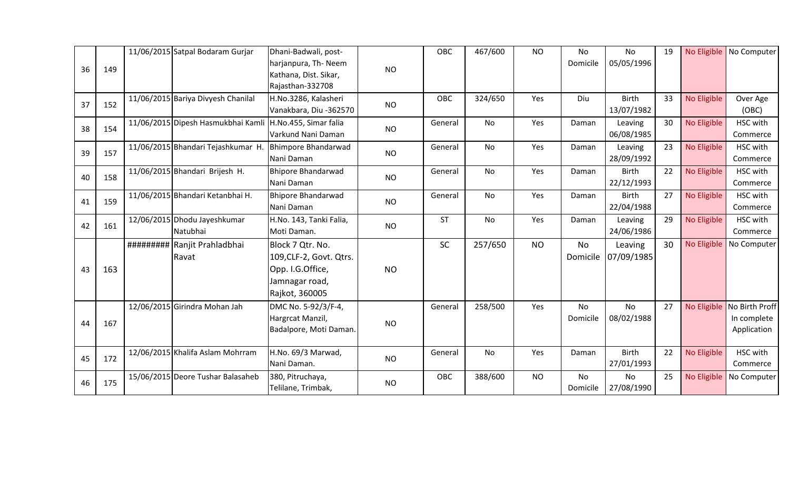| 36 | 149 | 11/06/2015 Satpal Bodaram Gurjar         | Dhani-Badwali, post-<br>harjanpura, Th-Neem<br>Kathana, Dist. Sikar,<br>Rajasthan-332708            | <b>NO</b> | <b>OBC</b> | 467/600   | <b>NO</b> | No<br>Domicile        | <b>No</b><br>05/05/1996    | 19 |             | No Eligible   No Computer                    |
|----|-----|------------------------------------------|-----------------------------------------------------------------------------------------------------|-----------|------------|-----------|-----------|-----------------------|----------------------------|----|-------------|----------------------------------------------|
| 37 | 152 | 11/06/2015 Bariya Divyesh Chanilal       | H.No.3286, Kalasheri<br>Vanakbara, Diu -362570                                                      | <b>NO</b> | <b>OBC</b> | 324/650   | Yes       | Diu                   | <b>Birth</b><br>13/07/1982 | 33 | No Eligible | Over Age<br>(OBC)                            |
| 38 | 154 | 11/06/2015 Dipesh Hasmukbhai Kamli       | H.No.455, Simar falia<br>Varkund Nani Daman                                                         | <b>NO</b> | General    | No        | Yes       | Daman                 | Leaving<br>06/08/1985      | 30 | No Eligible | HSC with<br>Commerce                         |
| 39 | 157 | 11/06/2015 Bhandari Tejashkumar H.       | Bhimpore Bhandarwad<br>Nani Daman                                                                   | <b>NO</b> | General    | No        | Yes       | Daman                 | Leaving<br>28/09/1992      | 23 | No Eligible | HSC with<br>Commerce                         |
| 40 | 158 | 11/06/2015 Bhandari Brijesh H.           | <b>Bhipore Bhandarwad</b><br>Nani Daman                                                             | <b>NO</b> | General    | No        | Yes       | Daman                 | Birth<br>22/12/1993        | 22 | No Eligible | HSC with<br>Commerce                         |
| 41 | 159 | 11/06/2015 Bhandari Ketanbhai H.         | <b>Bhipore Bhandarwad</b><br>Nani Daman                                                             | <b>NO</b> | General    | No        | Yes       | Daman                 | <b>Birth</b><br>22/04/1988 | 27 | No Eligible | HSC with<br>Commerce                         |
| 42 | 161 | 12/06/2015 Dhodu Jayeshkumar<br>Natubhai | H.No. 143, Tanki Falia,<br>Moti Daman.                                                              | <b>NO</b> | <b>ST</b>  | No        | Yes       | Daman                 | Leaving<br>24/06/1986      | 29 | No Eligible | HSC with<br>Commerce                         |
| 43 | 163 | ########## Ranjit Prahladbhai<br>Ravat   | Block 7 Qtr. No.<br>109, CLF-2, Govt. Qtrs.<br>Opp. I.G.Office,<br>Jamnagar road,<br>Rajkot, 360005 | <b>NO</b> | <b>SC</b>  | 257/650   | <b>NO</b> | No<br>Domicile        | Leaving<br>07/09/1985      | 30 | No Eligible | No Computer                                  |
| 44 | 167 | 12/06/2015 Girindra Mohan Jah            | DMC No. 5-92/3/F-4,<br>Hargrcat Manzil,<br>Badalpore, Moti Daman.                                   | <b>NO</b> | General    | 258/500   | Yes       | <b>No</b><br>Domicile | <b>No</b><br>08/02/1988    | 27 | No Eligible | No Birth Proff<br>In complete<br>Application |
| 45 | 172 | 12/06/2015 Khalifa Aslam Mohrram         | H.No. 69/3 Marwad,<br>Nani Daman.                                                                   | <b>NO</b> | General    | <b>No</b> | Yes       | Daman                 | <b>Birth</b><br>27/01/1993 | 22 | No Eligible | HSC with<br>Commerce                         |
| 46 | 175 | 15/06/2015 Deore Tushar Balasaheb        | 380, Pitruchaya,<br>Telilane, Trimbak,                                                              | <b>NO</b> | OBC        | 388/600   | <b>NO</b> | No<br>Domicile        | <b>No</b><br>27/08/1990    | 25 | No Eligible | No Computer                                  |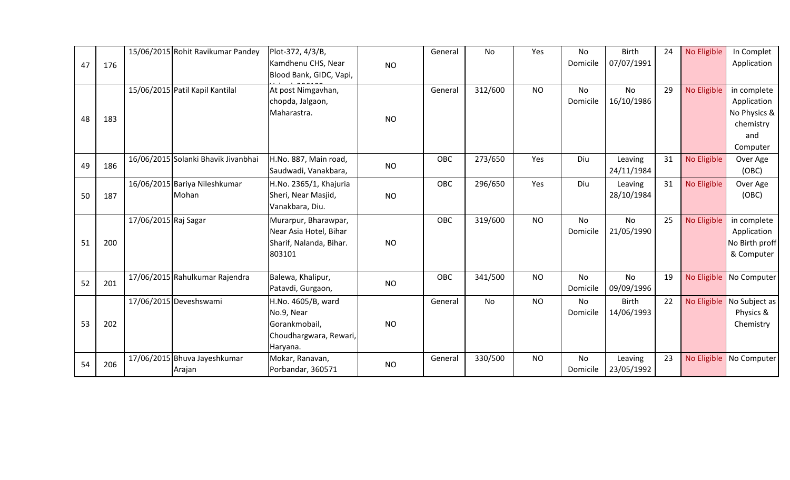|    |     |                      | 15/06/2015 Rohit Ravikumar Pandey      | Plot-372, 4/3/B,                                                                        |           | General | No      | Yes       | No                    | <b>Birth</b>               | 24 | No Eligible | In Complet                                                                 |
|----|-----|----------------------|----------------------------------------|-----------------------------------------------------------------------------------------|-----------|---------|---------|-----------|-----------------------|----------------------------|----|-------------|----------------------------------------------------------------------------|
| 47 | 176 |                      |                                        | Kamdhenu CHS, Near<br>Blood Bank, GIDC, Vapi,                                           | <b>NO</b> |         |         |           | Domicile              | 07/07/1991                 |    |             | Application                                                                |
| 48 | 183 |                      | 15/06/2015 Patil Kapil Kantilal        | At post Nimgavhan,<br>chopda, Jalgaon,<br>Maharastra.                                   | <b>NO</b> | General | 312/600 | <b>NO</b> | No<br>Domicile        | <b>No</b><br>16/10/1986    | 29 | No Eligible | in complete<br>Application<br>No Physics &<br>chemistry<br>and<br>Computer |
| 49 | 186 |                      | 16/06/2015 Solanki Bhavik Jivanbhai    | H.No. 887, Main road,<br>Saudwadi, Vanakbara,                                           | <b>NO</b> | OBC     | 273/650 | Yes       | Diu                   | Leaving<br>24/11/1984      | 31 | No Eligible | Over Age<br>(OBC)                                                          |
| 50 | 187 |                      | 16/06/2015 Bariya Nileshkumar<br>Mohan | H.No. 2365/1, Khajuria<br>Sheri, Near Masjid,<br>Vanakbara, Diu.                        | <b>NO</b> | OBC     | 296/650 | Yes       | Diu                   | Leaving<br>28/10/1984      | 31 | No Eligible | Over Age<br>(OBC)                                                          |
| 51 | 200 | 17/06/2015 Raj Sagar |                                        | Murarpur, Bharawpar,<br>Near Asia Hotel, Bihar<br>Sharif, Nalanda, Bihar.<br>803101     | <b>NO</b> | OBC     | 319/600 | <b>NO</b> | <b>No</b><br>Domicile | No.<br>21/05/1990          | 25 | No Eligible | in complete<br>Application<br>No Birth proff<br>& Computer                 |
| 52 | 201 |                      | 17/06/2015 Rahulkumar Rajendra         | Balewa, Khalipur,<br>Patavdi, Gurgaon,                                                  | <b>NO</b> | OBC     | 341/500 | <b>NO</b> | <b>No</b><br>Domicile | <b>No</b><br>09/09/1996    | 19 | No Eligible | No Computer                                                                |
| 53 | 202 |                      | 17/06/2015 Deveshswami                 | H.No. 4605/B, ward<br>No.9, Near<br>Gorankmobail,<br>Choudhargwara, Rewari,<br>Haryana. | <b>NO</b> | General | No      | <b>NO</b> | No<br>Domicile        | <b>Birth</b><br>14/06/1993 | 22 |             | No Eligible   No Subject as<br>Physics &<br>Chemistry                      |
| 54 | 206 |                      | 17/06/2015 Bhuva Jayeshkumar<br>Arajan | Mokar, Ranavan,<br>Porbandar, 360571                                                    | <b>NO</b> | General | 330/500 | <b>NO</b> | <b>No</b><br>Domicile | Leaving<br>23/05/1992      | 23 |             | No Eligible   No Computer                                                  |